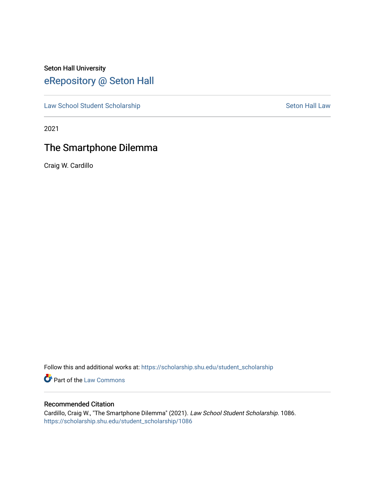# Seton Hall University [eRepository @ Seton Hall](https://scholarship.shu.edu/)

[Law School Student Scholarship](https://scholarship.shu.edu/student_scholarship) Seton Hall Law

2021

# The Smartphone Dilemma

Craig W. Cardillo

Follow this and additional works at: [https://scholarship.shu.edu/student\\_scholarship](https://scholarship.shu.edu/student_scholarship?utm_source=scholarship.shu.edu%2Fstudent_scholarship%2F1086&utm_medium=PDF&utm_campaign=PDFCoverPages) 

**Part of the [Law Commons](http://network.bepress.com/hgg/discipline/578?utm_source=scholarship.shu.edu%2Fstudent_scholarship%2F1086&utm_medium=PDF&utm_campaign=PDFCoverPages)** 

# Recommended Citation

Cardillo, Craig W., "The Smartphone Dilemma" (2021). Law School Student Scholarship. 1086. [https://scholarship.shu.edu/student\\_scholarship/1086](https://scholarship.shu.edu/student_scholarship/1086?utm_source=scholarship.shu.edu%2Fstudent_scholarship%2F1086&utm_medium=PDF&utm_campaign=PDFCoverPages)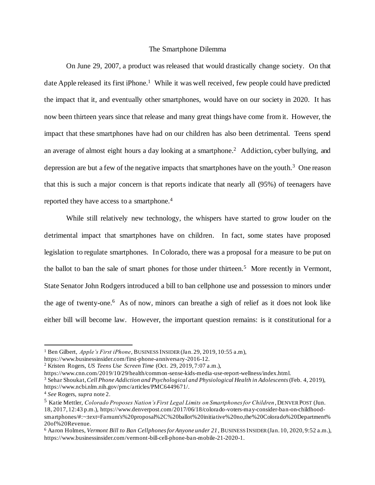## The Smartphone Dilemma

On June 29, 2007, a product was released that would drastically change society. On that date Apple released its first iPhone.<sup>1</sup> While it was well received, few people could have predicted the impact that it, and eventually other smartphones, would have on our society in 2020. It has now been thirteen years since that release and many great things have come from it. However, the impact that these smartphones have had on our children has also been detrimental. Teens spend an average of almost eight hours a day looking at a smartphone. 2 Addiction, cyber bullying, and depression are but a few of the negative impacts that smartphones have on the youth.<sup>3</sup> One reason that this is such a major concern is that reports indicate that nearly all (95%) of teenagers have reported they have access to a smartphone.<sup>4</sup>

While still relatively new technology, the whispers have started to grow louder on the detrimental impact that smartphones have on children. In fact, some states have proposed legislation to regulate smartphones. In Colorado, there was a proposal for a measure to be put on the ballot to ban the sale of smart phones for those under thirteen.<sup>5</sup> More recently in Vermont, State Senator John Rodgers introduced a bill to ban cellphone use and possession to minors under the age of twenty-one. 6 As of now, minors can breathe a sigh of relief as it does not look like either bill will become law. However, the important question remains: is it constitutional for a

<sup>1</sup> Ben Gilbert, *Apple's First iPhone*, BUSINESS INSIDER(Jan. 29, 2019, 10:55 a.m), https://www.businessinsider.com/first-phone-anniversary-2016-12.

<sup>2</sup> Kristen Rogers, *US Teens Use Screen Time* (Oct. 29, 2019, 7:07 a.m.),

https://www.cnn.com/2019/10/29/health/common-sense-kids-media-use-report-wellness/index.html.

<sup>3</sup> Sehar Shoukat,*Cell Phone Addiction and Psychological and Physiological Health in Adolescents*(Feb. 4, 2019), https://www.ncbi.nlm.nih.gov/pmc/articles/PMC6449671/.

<sup>4</sup> *See* Rogers, *supra* note 2.

<sup>5</sup> Katie Mettler, *Colorado Proposes Nation's First Legal Limits on Smartphones for Children ,* DENVER POST (Jun. 18, 2017, 12:43 p.m.), https://www.denverpost.com/2017/06/18/colorado-voters-may-consider-ban-on-childhoodsmartphones/#:~:text=Farnum's%20proposal%2C%20ballot%20initiative%20no,the%20Colorado%20Department% 20of%20Revenue.

<sup>6</sup> Aaron Holmes, *Vermont Bill to Ban Cellphones for Anyone under 21*, BUSINESS INSIDER(Jan. 10, 2020, 9:52 a.m.), https://www.businessinsider.com/vermont-bill-cell-phone-ban-mobile-21-2020-1.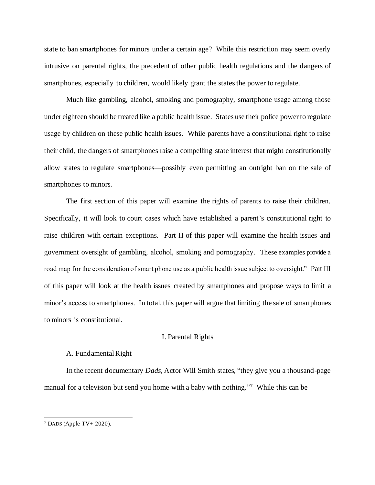state to ban smartphones for minors under a certain age? While this restriction may seem overly intrusive on parental rights, the precedent of other public health regulations and the dangers of smartphones, especially to children, would likely grant the states the power to regulate.

Much like gambling, alcohol, smoking and pornography, smartphone usage among those under eighteen should be treated like a public health issue. States use their police power to regulate usage by children on these public health issues. While parents have a constitutional right to raise their child, the dangers of smartphones raise a compelling state interest that might constitutionally allow states to regulate smartphones—possibly even permitting an outright ban on the sale of smartphones to minors.

The first section of this paper will examine the rights of parents to raise their children. Specifically, it will look to court cases which have established a parent's constitutional right to raise children with certain exceptions. Part II of this paper will examine the health issues and government oversight of gambling, alcohol, smoking and pornography. These examples provide a road map for the consideration of smart phone use as a public health issue subject to oversight." Part III of this paper will look at the health issues created by smartphones and propose ways to limit a minor's access to smartphones. In total, this paper will argue that limiting the sale of smartphones to minors is constitutional.

# I. Parental Rights

# A. Fundamental Right

In the recent documentary *Dads*, Actor Will Smith states, "they give you a thousand-page manual for a television but send you home with a baby with nothing."<sup>7</sup> While this can be

 $7$  DADS (Apple TV+ 2020).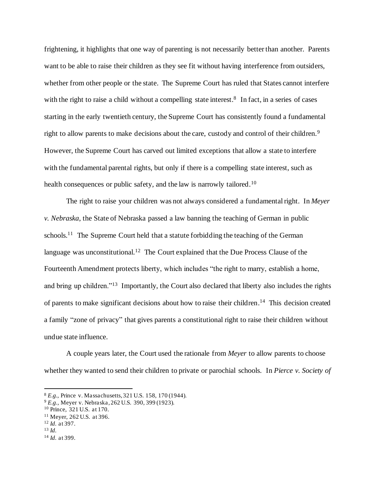frightening, it highlights that one way of parenting is not necessarily better than another. Parents want to be able to raise their children as they see fit without having interference from outsiders, whether from other people or the state. The Supreme Court has ruled that States cannot interfere with the right to raise a child without a compelling state interest.<sup>8</sup> In fact, in a series of cases starting in the early twentieth century, the Supreme Court has consistently found a fundamental right to allow parents to make decisions about the care, custody and control of their children.<sup>9</sup> However, the Supreme Court has carved out limited exceptions that allow a state to interfere with the fundamental parental rights, but only if there is a compelling state interest, such as health consequences or public safety, and the law is narrowly tailored.<sup>10</sup>

The right to raise your children was not always considered a fundamental right. In *Meyer v. Nebraska*, the State of Nebraska passed a law banning the teaching of German in public schools.<sup>11</sup> The Supreme Court held that a statute forbidding the teaching of the German language was unconstitutional.<sup>12</sup> The Court explained that the Due Process Clause of the Fourteenth Amendment protects liberty, which includes "the right to marry, establish a home, and bring up children."<sup>13</sup> Importantly, the Court also declared that liberty also includes the rights of parents to make significant decisions about how to raise their children.<sup>14</sup> This decision created a family "zone of privacy" that gives parents a constitutional right to raise their children without undue state influence.

A couple years later, the Court used the rationale from *Meyer* to allow parents to choose whether they wanted to send their children to private or parochial schools. In *Pierce v. Society of* 

<sup>8</sup> *E.g.,* Prince v. Massachusetts, 321 U.S. 158, 170 (1944).

<sup>9</sup> *E.g.,* Meyer v. Nebraska, 262 U.S. 390, 399 (1923).

<sup>10</sup> Prince, 321 U.S. at 170.

<sup>11</sup> Meyer, 262 U.S. at 396.

<sup>12</sup> *Id.* at 397.

<sup>13</sup> *Id.*

<sup>14</sup> *Id.* at 399.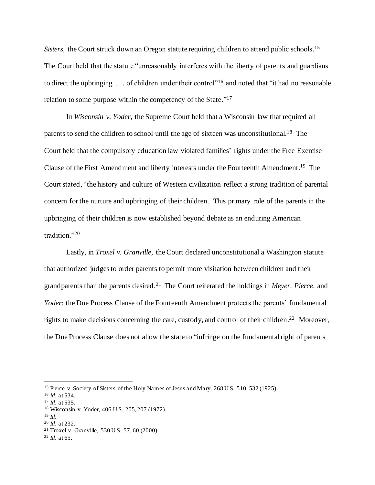Sisters, the Court struck down an Oregon statute requiring children to attend public schools.<sup>15</sup> The Court held that the statute "unreasonably interferes with the liberty of parents and guardians to direct the upbringing . . . of children under their control"<sup>16</sup> and noted that "it had no reasonable relation to some purpose within the competency of the State."<sup>17</sup>

In *Wisconsin v. Yoder*, the Supreme Court held that a Wisconsin law that required all parents to send the children to school until the age of sixteen was unconstitutional.<sup>18</sup> The Court held that the compulsory education law violated families' rights under the Free Exercise Clause of the First Amendment and liberty interests under the Fourteenth Amendment.<sup>19</sup> The Court stated, "the history and culture of Western civilization reflect a strong tradition of parental concern for the nurture and upbringing of their children. This primary role of the parents in the upbringing of their children is now established beyond debate as an enduring American tradition."<sup>20</sup>

Lastly, in *Troxel v. Granville*, the Court declared unconstitutional a Washington statute that authorized judges to order parents to permit more visitation between children and their grandparents than the parents desired.<sup>21</sup> The Court reiterated the holdings in *Meyer, Pierce*, and *Yoder*: the Due Process Clause of the Fourteenth Amendment protects the parents' fundamental rights to make decisions concerning the care, custody, and control of their children.<sup>22</sup> Moreover, the Due Process Clause does not allow the state to "infringe on the fundamental right of parents

<sup>&</sup>lt;sup>15</sup> Pierce v. Society of Sisters of the Holy Names of Jesus and Mary, 268 U.S. 510, 532 (1925).

<sup>16</sup> *Id.* at 534.

<sup>17</sup> *Id.* at 535.

<sup>18</sup> Wisconsin v. Yoder, 406 U.S. 205, 207 (1972).

 $19 \, Id.$ 

<sup>20</sup> *Id.* at 232.

<sup>21</sup> Troxel v. Granville, 530 U.S. 57, 60 (2000).

 $^{22}$  *Id.* at 65.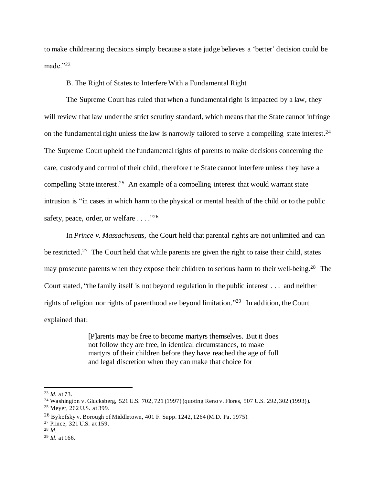to make childrearing decisions simply because a state judge believes a 'better' decision could be made."<sup>23</sup>

## B. The Right of States to Interfere With a Fundamental Right

The Supreme Court has ruled that when a fundamental right is impacted by a law, they will review that law under the strict scrutiny standard, which means that the State cannot infringe on the fundamental right unless the law is narrowly tailored to serve a compelling state interest.<sup>24</sup> The Supreme Court upheld the fundamental rights of parents to make decisions concerning the care, custody and control of their child, therefore the State cannot interfere unless they have a compelling State interest.<sup>25</sup> An example of a compelling interest that would warrant state intrusion is "in cases in which harm to the physical or mental health of the child or to the public safety, peace, order, or welfare . . . . "<sup>26</sup>

In *Prince v. Massachusetts*, the Court held that parental rights are not unlimited and can be restricted.<sup>27</sup> The Court held that while parents are given the right to raise their child, states may prosecute parents when they expose their children to serious harm to their well-being.<sup>28</sup> The Court stated, "the family itself is not beyond regulation in the public interest . . . and neither rights of religion nor rights of parenthood are beyond limitation."<sup>29</sup> In addition, the Court explained that:

> [P]arents may be free to become martyrs themselves. But it does not follow they are free, in identical circumstances, to make martyrs of their children before they have reached the age of full and legal discretion when they can make that choice for

<sup>28</sup> *Id.*

<sup>23</sup> *Id.* at 73.

<sup>24</sup> Washington v. Glucksberg, 521 U.S. 702, 721 (1997) (quoting Reno v. Flores, 507 U.S. 292, 302 (1993)).

<sup>25</sup> Meyer, 262 U.S. at 399.

<sup>26</sup> Bykofsky v. Borough of Middletown, 401 F. Supp. 1242, 1264 (M.D. Pa. 1975).

<sup>27</sup> Prince, 321 U.S. at 159.

<sup>29</sup> *Id.* at 166.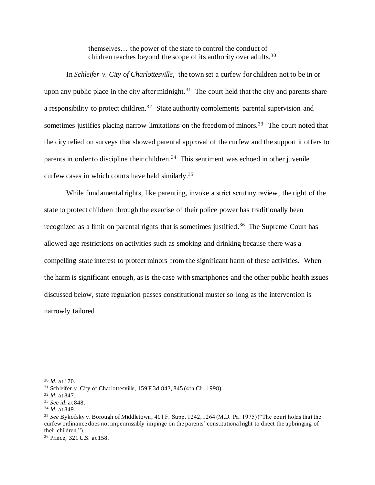themselves… the power of the state to control the conduct of children reaches beyond the scope of its authority over adults.<sup>30</sup>

In *Schleifer v. City of Charlottesville*, the town set a curfew for children not to be in or upon any public place in the city after midnight.<sup>31</sup> The court held that the city and parents share a responsibility to protect children.<sup>32</sup> State authority complements parental supervision and sometimes justifies placing narrow limitations on the freedom of minors.<sup>33</sup> The court noted that the city relied on surveys that showed parental approval of the curfew and the support it offers to parents in order to discipline their children.<sup>34</sup> This sentiment was echoed in other juvenile curfew cases in which courts have held similarly.<sup>35</sup>

While fundamental rights, like parenting, invoke a strict scrutiny review, the right of the state to protect children through the exercise of their police power has traditionally been recognized as a limit on parental rights that is sometimes justified.<sup>36</sup> The Supreme Court has allowed age restrictions on activities such as smoking and drinking because there was a compelling state interest to protect minors from the significant harm of these activities. When the harm is significant enough, as is the case with smartphones and the other public health issues discussed below, state regulation passes constitutional muster so long as the intervention is narrowly tailored.

<sup>30</sup> *Id.* at 170.

<sup>31</sup> Schleifer v. City of Charlottesville, 159 F.3d 843, 845 (4th Cir. 1998).

<sup>32</sup> *Id.* at 847.

<sup>33</sup> *See id.* at 848.

<sup>34</sup> *Id.* at 849.

<sup>35</sup> *See* Bykofsky v. Borough of Middletown, 401 F. Supp. 1242, 1264 (M.D. Pa. 1975) ("The court holds that the curfew ordinance does not impermissibly impinge on the parents' constitutional right to direct the upbringing of their children.").

<sup>36</sup> Prince, 321 U.S. at 158.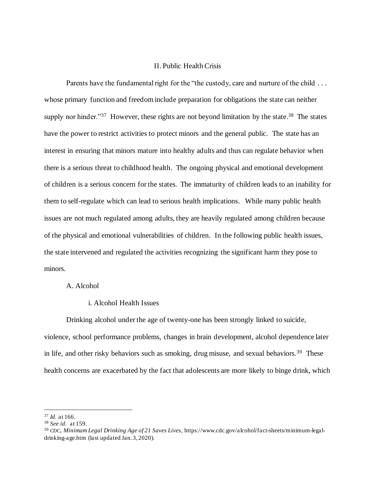## II. Public Health Crisis

Parents have the fundamental right for the "the custody, care and nurture of the child . . . whose primary function and freedom include preparation for obligations the state can neither supply nor hinder."<sup>37</sup> However, these rights are not beyond limitation by the state.<sup>38</sup> The states have the power to restrict activities to protect minors and the general public. The state has an interest in ensuring that minors mature into healthy adults and thus can regulate behavior when there is a serious threat to childhood health. The ongoing physical and emotional development of children is a serious concern for the states. The immaturity of children leads to an inability for them to self-regulate which can lead to serious health implications. While many public health issues are not much regulated among adults, they are heavily regulated among children because of the physical and emotional vulnerabilities of children. In the following public health issues, the state intervened and regulated the activities recognizing the significant harm they pose to minors.

## A. Alcohol

i. Alcohol Health Issues

Drinking alcohol under the age of twenty-one has been strongly linked to suicide, violence, school performance problems, changes in brain development, alcohol dependence later in life, and other risky behaviors such as smoking, drug misuse, and sexual behaviors.<sup>39</sup> These health concerns are exacerbated by the fact that adolescents are more likely to binge drink, which

<sup>37</sup> *Id.* at 166.

<sup>38</sup> *See id.* at 159.

<sup>39</sup> CDC, *Minimum Legal Drinking Age of 21 Saves Lives*, https://www.cdc.gov/alcohol/fact-sheets/minimum-legaldrinking-age.htm (last updated Jan. 3, 2020).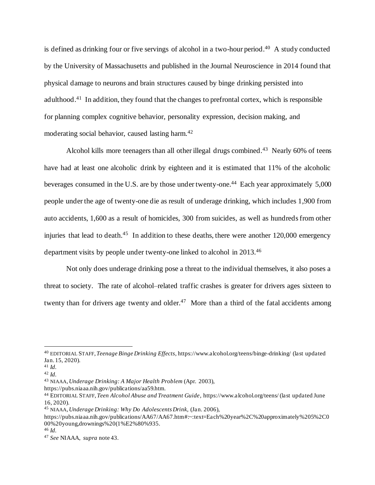is defined as drinking four or five servings of alcohol in a two-hour period.<sup>40</sup> A study conducted by the University of Massachusetts and published in the Journal Neuroscience in 2014 found that physical damage to neurons and brain structures caused by binge drinking persisted into adulthood.<sup>41</sup> In addition, they found that the changes to prefrontal cortex, which is responsible for planning complex cognitive behavior, personality expression, decision making, and moderating social behavior, caused lasting harm.<sup>42</sup>

Alcohol kills more teenagers than all other illegal drugs combined.<sup>43</sup> Nearly 60% of teens have had at least one alcoholic drink by eighteen and it is estimated that 11% of the alcoholic beverages consumed in the U.S. are by those under twenty-one.<sup>44</sup> Each year approximately 5,000 people under the age of twenty-one die as result of underage drinking, which includes 1,900 from auto accidents, 1,600 as a result of homicides, 300 from suicides, as well as hundreds from other injuries that lead to death.<sup>45</sup> In addition to these deaths, there were another  $120,000$  emergency department visits by people under twenty-one linked to alcohol in 2013.<sup>46</sup>

Not only does underage drinking pose a threat to the individual themselves, it also poses a threat to society. The rate of alcohol–related traffic crashes is greater for drivers ages sixteen to twenty than for drivers age twenty and older.<sup>47</sup> More than a third of the fatal accidents among

https://pubs.niaaa.nih.gov/publications/aa59.htm.

<sup>40</sup> EDITORIAL STAFF, *Teenage Binge Drinking Effects*, https://www.alcohol.org/teens/binge-drinking/ (last updated Jan. 15, 2020).

<sup>41</sup> *Id.* <sup>42</sup> *Id.*

<sup>43</sup> NIAAA, *Underage Drinking: A Major Health Problem* (Apr. 2003),

<sup>44</sup> EDITORIAL STAFF, *Teen Alcohol Abuse and Treatment Guide*, https://www.alcohol.org/teens/ (last updated June 16, 2020).

<sup>45</sup> NIAAA, *Underage Drinking: Why Do Adolescents Drink,* (Jan. 2006),

https://pubs.niaaa.nih.gov/publications/AA67/AA67.htm#:~:text=Each%20year%2C%20approximately%205%2C0 00%20young,drownings%20(1%E2%80%935.

<sup>46</sup> *Id.*

<sup>47</sup> *See* NIAAA, *supra* note 43.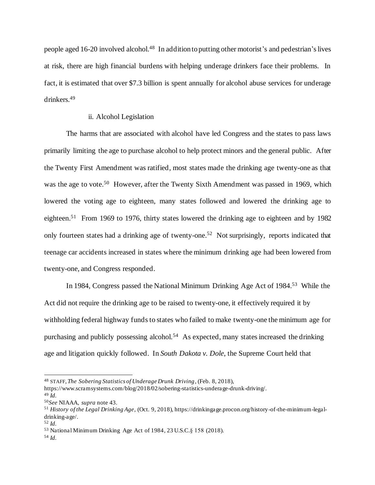people aged 16-20 involved alcohol.<sup>48</sup> In addition to putting other motorist's and pedestrian's lives at risk, there are high financial burdens with helping underage drinkers face their problems. In fact, it is estimated that over \$7.3 billion is spent annually for alcohol abuse services for underage drinkers.<sup>49</sup>

## ii. Alcohol Legislation

The harms that are associated with alcohol have led Congress and the states to pass laws primarily limiting the age to purchase alcohol to help protect minors and the general public. After the Twenty First Amendment was ratified, most states made the drinking age twenty-one as that was the age to vote.<sup>50</sup> However, after the Twenty Sixth Amendment was passed in 1969, which lowered the voting age to eighteen, many states followed and lowered the drinking age to eighteen.<sup>51</sup> From 1969 to 1976, thirty states lowered the drinking age to eighteen and by 1982 only fourteen states had a drinking age of twenty-one. 52 Not surprisingly, reports indicated that teenage car accidents increased in states where the minimum drinking age had been lowered from twenty-one, and Congress responded.

In 1984, Congress passed the National Minimum Drinking Age Act of 1984.<sup>53</sup> While the Act did not require the drinking age to be raised to twenty-one, it effectively required it by withholding federal highway funds to states who failed to make twenty-one the minimum age for purchasing and publicly possessing alcohol.<sup>54</sup> As expected, many states increased the drinking age and litigation quickly followed. In *South Dakota v. Dole*, the Supreme Court held that

<sup>48</sup> STAFF,*The Sobering Statistics of Underage Drunk Driving*, (Feb. 8, 2018),

https://www.scramsystems.com/blog/2018/02/sobering-statistics-underage-drunk-driving/. <sup>49</sup> *Id.*

<sup>50</sup>*See* NIAAA, *supra* note 43.

<sup>51</sup> *History of the Legal Drinking Age*, (Oct. 9, 2018), https://drinkingage.procon.org/history-of-the-minimum-legaldrinking-age/.

<sup>52</sup> *Id.*

<sup>53</sup> National Minimum Drinking Age Act of 1984, 23 U.S.C.§ 158 (2018).

<sup>54</sup> *Id.*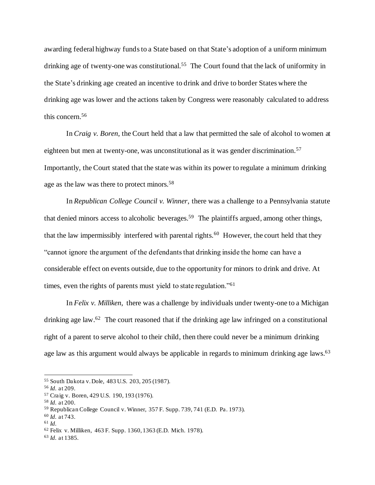awarding federal highway funds to a State based on that State's adoption of a uniform minimum drinking age of twenty-one was constitutional.<sup>55</sup> The Court found that the lack of uniformity in the State's drinking age created an incentive to drink and drive to border States where the drinking age was lower and the actions taken by Congress were reasonably calculated to address this concern.<sup>56</sup>

In *Craig v. Boren*, the Court held that a law that permitted the sale of alcohol to women at eighteen but men at twenty-one, was unconstitutional as it was gender discrimination.<sup>57</sup> Importantly, the Court stated that the state was within its power to regulate a minimum drinking age as the law was there to protect minors.<sup>58</sup>

In *Republican College Council v. Winner*, there was a challenge to a Pennsylvania statute that denied minors access to alcoholic beverages. 59 The plaintiffs argued, among other things, that the law impermissibly interfered with parental rights.<sup>60</sup> However, the court held that they "cannot ignore the argument of the defendants that drinking inside the home can have a considerable effect on events outside, due to the opportunity for minors to drink and drive. At times, even the rights of parents must yield to state regulation."<sup>61</sup>

In *Felix v. Milliken*, there was a challenge by individuals under twenty-one to a Michigan drinking age law.<sup>62</sup> The court reasoned that if the drinking age law infringed on a constitutional right of a parent to serve alcohol to their child, then there could never be a minimum drinking age law as this argument would always be applicable in regards to minimum drinking age laws.<sup>63</sup>

<sup>55</sup> South Dakota v. Dole, 483 U.S. 203, 205 (1987).

<sup>56</sup> *Id.* at 209.

<sup>57</sup> Craig v. Boren, 429 U.S. 190, 193 (1976).

<sup>58</sup> *Id.* at 200.

<sup>59</sup> Republican College Council v. Winner, 357 F. Supp. 739, 741 (E.D. Pa. 1973).

<sup>60</sup> *Id.* at 743.

<sup>61</sup> *Id.*

<sup>62</sup> Felix v. Milliken, 463 F. Supp. 1360, 1363 (E.D. Mich. 1978).

<sup>63</sup> *Id.* at 1385.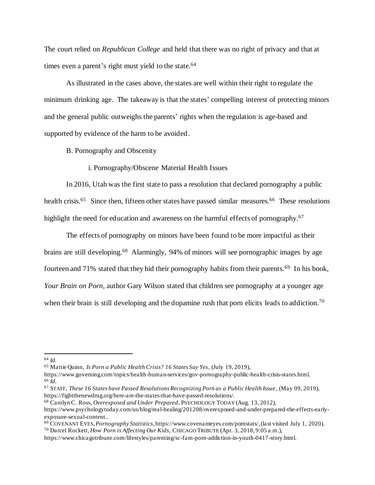The court relied on *Republican College* and held that there was no right of privacy and that at times even a parent's right must yield to the state.<sup>64</sup>

As illustrated in the cases above, the states are well within their right to regulate the minimum drinking age. The takeaway is that the states' compelling interest of protecting minors and the general public outweighs the parents' rights when the regulation is age-based and supported by evidence of the harm to be avoided.

B. Pornography and Obscenity

i. Pornography/Obscene Material Health Issues

In 2016, Utah was the first state to pass a resolution that declared pornography a public health crisis.<sup>65</sup> Since then, fifteen other states have passed similar measures.<sup>66</sup> These resolutions highlight the need for education and awareness on the harmful effects of pornography.<sup>67</sup>

The effects of pornography on minors have been found to be more impactful as their brains are still developing.<sup>68</sup> Alarmingly, 94% of minors will see pornographic images by age fourteen and 71% stated that they hid their pornography habits from their parents.<sup>69</sup> In his book, *Your Brain on Porn*, author Gary Wilson stated that children see pornography at a younger age when their brain is still developing and the dopamine rush that porn elicits leads to addiction.<sup>70</sup>

<sup>64</sup> *Id.*

<sup>65</sup> Mattie Quinn, *Is Porn a Public Health Crisis? 16 States Say Yes*, (July 19, 2019),

https://www.governing.com/topics/health-human-services/gov-pornography-public-health-crisis-states.html. <sup>66</sup> *Id.*

<sup>67</sup> STAFF, *These 16 States have Passed Resolutions Recognizing Porn as a Public Health Issue* , (May 09, 2019), https://fightthenewdrug.org/here-are-the-states-that-have-passed-resolutions/.

<sup>68</sup> Carolyn C. Ross, *Overexposed and Under Prepared*, PSYCHOLOGY TODAY (Aug. 13, 2012),

https://www.psychologytoday.com/us/blog/real-healing/201208/overexposed-and-under-prepared-the-effects-earlyexposure-sexual-content..

<sup>69</sup> COVENANT EYES, *Pornography Statistics*, https://www.covenanteyes.com/pornstats/, (last visited July 1, 2020).

<sup>70</sup> Darcel Rockett, *How Porn is Affecting Our Kids*, CHICAGO TRIBUTE (Apr. 3, 2018, 9:05 a.m.),

https://www.chicagotribune.com/lifestyles/parenting/sc-fam-porn-addiction-in-youth-0417-story.html.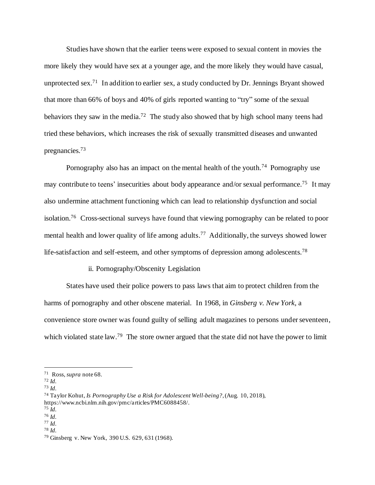Studies have shown that the earlier teens were exposed to sexual content in movies the more likely they would have sex at a younger age, and the more likely they would have casual, unprotected sex.<sup>71</sup> In addition to earlier sex, a study conducted by Dr. Jennings Bryant showed that more than 66% of boys and 40% of girls reported wanting to "try" some of the sexual behaviors they saw in the media.<sup>72</sup> The study also showed that by high school many teens had tried these behaviors, which increases the risk of sexually transmitted diseases and unwanted pregnancies.<sup>73</sup>

Pornography also has an impact on the mental health of the youth.<sup>74</sup> Pornography use may contribute to teens' insecurities about body appearance and/or sexual performance.<sup>75</sup> It may also undermine attachment functioning which can lead to relationship dysfunction and social isolation.<sup>76</sup> Cross-sectional surveys have found that viewing pornography can be related to poor mental health and lower quality of life among adults.<sup>77</sup> Additionally, the surveys showed lower life-satisfaction and self-esteem, and other symptoms of depression among adolescents.<sup>78</sup>

## ii. Pornography/Obscenity Legislation

States have used their police powers to pass laws that aim to protect children from the harms of pornography and other obscene material. In 1968, in *Ginsberg v. New York*, a convenience store owner was found guilty of selling adult magazines to persons under seventeen, which violated state law.<sup>79</sup> The store owner argued that the state did not have the power to limit

<sup>71</sup> Ross, *supra* note 68.

<sup>72</sup> *Id.*

<sup>73</sup> *Id.*

<sup>74</sup> Taylor Kohut, *Is Pornography Use a Risk for Adolescent Well-being?*,(Aug. 10, 2018),

https://www.ncbi.nlm.nih.gov/pmc/articles/PMC6088458/.

<sup>75</sup> *Id.*

<sup>76</sup> *Id.* <sup>77</sup> *Id.*

<sup>78</sup> *Id.*

<sup>79</sup> Ginsberg v. New York, 390 U.S. 629, 631 (1968).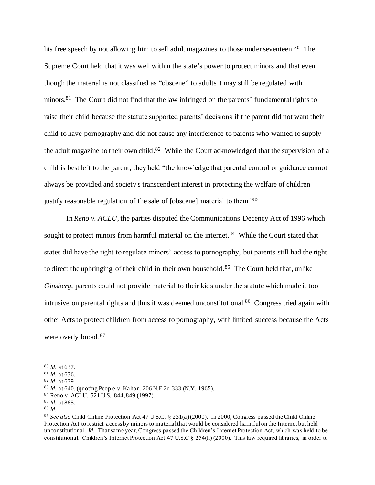his free speech by not allowing him to sell adult magazines to those under seventeen.<sup>80</sup> The Supreme Court held that it was well within the state's power to protect minors and that even though the material is not classified as "obscene" to adults it may still be regulated with minors.<sup>81</sup> The Court did not find that the law infringed on the parents' fundamental rights to raise their child because the statute supported parents' decisions if the parent did not want their child to have pornography and did not cause any interference to parents who wanted to supply the adult magazine to their own child.<sup>82</sup> While the Court acknowledged that the supervision of a child is best left to the parent, they held "the knowledge that parental control or guidance cannot always be provided and society's transcendent interest in protecting the welfare of children justify reasonable regulation of the sale of [obscene] material to them."<sup>83</sup>

In *Reno v. ACLU*, the parties disputed the Communications Decency Act of 1996 which sought to protect minors from harmful material on the internet.<sup>84</sup> While the Court stated that states did have the right to regulate minors' access to pornography, but parents still had the right to direct the upbringing of their child in their own household.<sup>85</sup> The Court held that, unlike *Ginsberg*, parents could not provide material to their kids under the statute which made it too intrusive on parental rights and thus it was deemed unconstitutional.<sup>86</sup> Congress tried again with other Acts to protect children from access to pornography, with limited success because the Acts were overly broad.<sup>87</sup>

<sup>80</sup> *Id.* at 637.

<sup>81</sup> *Id.* at 636.

<sup>82</sup> *Id.* at 639.

<sup>83</sup> *Id.* at 640, (quoting People v. Kahan, 206 N.E.2d 333 (N.Y. 1965).

<sup>84</sup> Reno v. ACLU, 521 U.S. 844, 849 (1997).

<sup>85</sup> *Id.* at 865.

<sup>86</sup> *Id.*

<sup>&</sup>lt;sup>87</sup> See also Child Online Protection Act 47 U.S.C. § 231(a) (2000). In 2000, Congress passed the Child Online Protection Act to restrict access by minors to material that would be considered harmful on the Internet but held unconstitutional. *Id.* That same year, Congress passed the Children's Internet Protection Act, which was held to be constitutional. Children's Internet Protection Act 47 U.S.C § 254(h) (2000). This law required libraries, in order to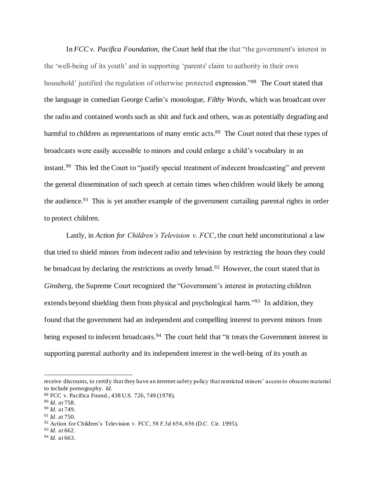In *FCC v. Pacifica Foundation*, the Court held that the that "the government's interest in the 'well-being of its youth' and in supporting 'parents' claim to authority in their own household' justified the regulation of otherwise protected expression."<sup>88</sup> The Court stated that the language in comedian George Carlin's monologue, *Filthy Words*, which was broadcast over the radio and contained words such as shit and fuck and others, was as potentially degrading and harmful to children as representations of many erotic acts.<sup>89</sup> The Court noted that these types of broadcasts were easily accessible to minors and could enlarge a child's vocabulary in an instant.<sup>90</sup> This led the Court to "justify special treatment of indecent broadcasting" and prevent the general dissemination of such speech at certain times when children would likely be among the audience.<sup>91</sup> This is yet another example of the government curtailing parental rights in order to protect children.

Lastly, in *Action for Children's Television v. FCC*, the court held unconstitutional a law that tried to shield minors from indecent radio and television by restricting the hours they could be broadcast by declaring the restrictions as overly broad.<sup>92</sup> However, the court stated that in *Ginsberg*, the Supreme Court recognized the "Government's interest in protecting children extends beyond shielding them from physical and psychological harm."<sup>93</sup> In addition, they found that the government had an independent and compelling interest to prevent minors from being exposed to indecent broadcasts.<sup>94</sup> The court held that "it treats the Government interest in supporting parental authority and its independent interest in the well-being of its youth as

<sup>93</sup> *Id.* at 662.

receive discounts, to certify that they have an internet safety policy that restricted minors' access to obscene material to include pornography. *Id.*

<sup>88</sup> FCC v. Pacifica Found., 438 U.S. 726, 749 (1978).

<sup>89</sup> *Id.* at 758.

<sup>90</sup> *Id.* at 749.

<sup>91</sup> *Id*. at 750.

 $92$  Action for Children's Television v. FCC, 58 F.3d 654, 656 (D.C. Cir. 1995).

<sup>94</sup> *Id.* at 663.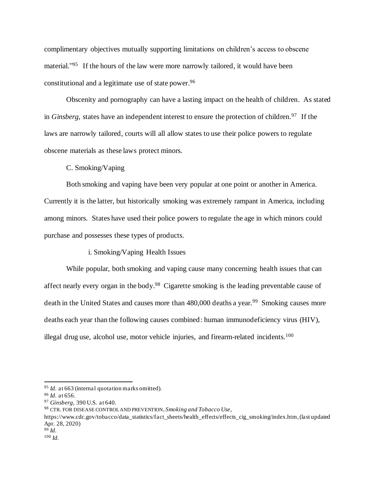complimentary objectives mutually supporting limitations on children's access to obscene material."<sup>95</sup> If the hours of the law were more narrowly tailored, it would have been constitutional and a legitimate use of state power. 96

Obscenity and pornography can have a lasting impact on the health of children. As stated in *Ginsberg*, states have an independent interest to ensure the protection of children.<sup>97</sup> If the laws are narrowly tailored, courts will all allow states to use their police powers to regulate obscene materials as these laws protect minors.

C. Smoking/Vaping

Both smoking and vaping have been very popular at one point or another in America. Currently it is the latter, but historically smoking was extremely rampant in America, including among minors. States have used their police powers to regulate the age in which minors could purchase and possesses these types of products.

i. Smoking/Vaping Health Issues

While popular, both smoking and vaping cause many concerning health issues that can affect nearly every organ in the body.<sup>98</sup> Cigarette smoking is the leading preventable cause of death in the United States and causes more than 480,000 deaths a year.<sup>99</sup> Smoking causes more deaths each year than the following causes combined: human immunodeficiency virus (HIV), illegal drug use, alcohol use, motor vehicle injuries, and firearm-related incidents.<sup>100</sup>

<sup>&</sup>lt;sup>95</sup> *Id.* at 663 (internal quotation marks omitted).

<sup>96</sup> *Id.* at 656.

<sup>97</sup> *Ginsberg*, 390 U.S. at 640.

<sup>98</sup> CTR. FOR DISEASE CONTROL AND PREVENTION, *Smoking and Tobacco Use*,

https://www.cdc.gov/tobacco/data\_statistics/fact\_sheets/health\_effects/effects\_cig\_smoking/index.htm, (last updated Apr. 28, 2020)

<sup>99</sup> *Id.*

<sup>100</sup> *Id.*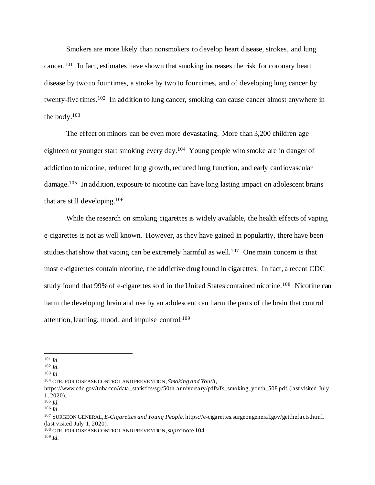Smokers are more likely than nonsmokers to develop heart disease, strokes, and lung cancer.<sup>101</sup> In fact, estimates have shown that smoking increases the risk for coronary heart disease by two to four times, a stroke by two to four times, and of developing lung cancer by twenty-five times.<sup>102</sup> In addition to lung cancer, smoking can cause cancer almost anywhere in the body. $103$ 

The effect on minors can be even more devastating. More than 3,200 children age eighteen or younger start smoking every day.<sup>104</sup> Young people who smoke are in danger of addiction to nicotine, reduced lung growth, reduced lung function, and early cardiovascular damage.<sup>105</sup> In addition, exposure to nicotine can have long lasting impact on adolescent brains that are still developing.<sup>106</sup>

While the research on smoking cigarettes is widely available, the health effects of vaping e-cigarettes is not as well known. However, as they have gained in popularity, there have been studies that show that vaping can be extremely harmful as well.<sup>107</sup> One main concern is that most e-cigarettes contain nicotine, the addictive drug found in cigarettes. In fact, a recent CDC study found that 99% of e-cigarettes sold in the United States contained nicotine.<sup>108</sup> Nicotine can harm the developing brain and use by an adolescent can harm the parts of the brain that control attention, learning, mood, and impulse control.<sup>109</sup>

<sup>101</sup> *Id.*

<sup>102</sup> *Id.*

<sup>103</sup> *Id.*

<sup>104</sup> CTR. FOR DISEASE CONTROL AND PREVENTION, *Smoking and Youth*,

https://www.cdc.gov/tobacco/data\_statistics/sgr/50th-anniversary/pdfs/fs\_smoking\_youth\_508.pdf, (last visited July 1, 2020).

<sup>105</sup> *Id.*

<sup>106</sup> *Id.*

<sup>107</sup> SURGEON GENERAL, *E-Cigarettes and Young People*. https://e-cigarettes.surgeongeneral.gov/getthefacts.html, (last visited July 1, 2020).

<sup>108</sup> CTR. FOR DISEASE CONTROL AND PREVENTION,*supra* note 104.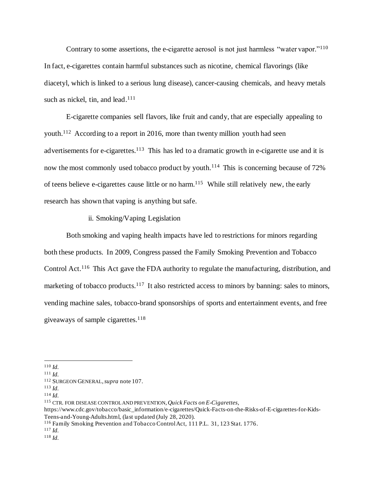Contrary to some assertions, the e-cigarette aerosol is not just harmless "water vapor."<sup>110</sup> In fact, e-cigarettes contain harmful substances such as nicotine, chemical flavorings (like diacetyl, which is linked to a serious lung disease), cancer-causing chemicals, and heavy metals such as nickel, tin, and lead.<sup>111</sup>

E-cigarette companies sell flavors, like fruit and candy, that are especially appealing to youth.<sup>112</sup> According to a report in 2016, more than twenty million youth had seen advertisements for e-cigarettes.<sup>113</sup> This has led to a dramatic growth in e-cigarette use and it is now the most commonly used tobacco product by youth.<sup>114</sup> This is concerning because of 72% of teens believe e-cigarettes cause little or no harm. 115 While still relatively new, the early research has shown that vaping is anything but safe.

# ii. Smoking/Vaping Legislation

Both smoking and vaping health impacts have led to restrictions for minors regarding both these products. In 2009, Congress passed the Family Smoking Prevention and Tobacco Control Act.<sup>116</sup> This Act gave the FDA authority to regulate the manufacturing, distribution, and marketing of tobacco products.<sup>117</sup> It also restricted access to minors by banning: sales to minors, vending machine sales, tobacco-brand sponsorships of sports and entertainment events, and free giveaways of sample cigarettes.<sup>118</sup>

<sup>110</sup> *Id.*

<sup>111</sup> *Id.*

<sup>112</sup> SURGEON GENERAL, *supra* note 107.

<sup>113</sup> *Id.*

<sup>114</sup> *Id.*

<sup>115</sup> CTR. FOR DISEASE CONTROL AND PREVENTION, *Quick Facts on E-Cigarettes*,

https://www.cdc.gov/tobacco/basic\_information/e-cigarettes/Quick-Facts-on-the-Risks-of-E-cigarettes-for-Kids-Teens-and-Young-Adults.html, (last updated (July 28, 2020).

<sup>116</sup> Family Smoking Prevention and Tobacco Control Act, 111 P.L. 31, 123 Stat. 1776.

<sup>117</sup> *Id.*

<sup>118</sup> *Id.*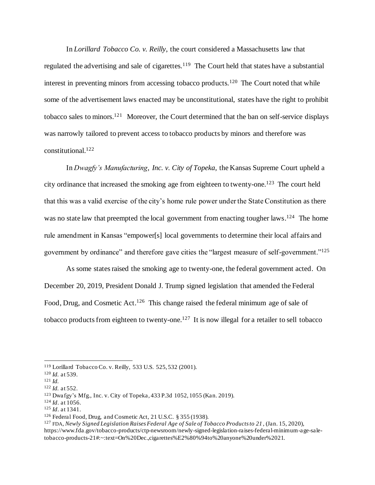In *Lorillard Tobacco Co. v. Reilly*, the court considered a Massachusetts law that regulated the advertising and sale of cigarettes.<sup>119</sup> The Court held that states have a substantial interest in preventing minors from accessing tobacco products.<sup>120</sup> The Court noted that while some of the advertisement laws enacted may be unconstitutional, states have the right to prohibit tobacco sales to minors.<sup>121</sup> Moreover, the Court determined that the ban on self-service displays was narrowly tailored to prevent access to tobacco products by minors and therefore was constitutional. 122

In *Dwagfy's Manufacturing, Inc. v. City of Topeka*, the Kansas Supreme Court upheld a city ordinance that increased the smoking age from eighteen to twenty-one.<sup>123</sup> The court held that this was a valid exercise of the city's home rule power under the State Constitution as there was no state law that preempted the local government from enacting tougher laws.<sup>124</sup> The home rule amendment in Kansas "empower[s] local governments to determine their local affairs and government by ordinance" and therefore gave cities the "largest measure of self-government."<sup>125</sup>

As some states raised the smoking age to twenty-one, the federal government acted. On December 20, 2019, President Donald J. Trump signed legislation that amended the Federal Food, Drug, and Cosmetic Act.<sup>126</sup> This change raised the federal minimum age of sale of tobacco products from eighteen to twenty-one.<sup>127</sup> It is now illegal for a retailer to sell tobacco

<sup>119</sup> Lorillard Tobacco Co. v. Reilly, 533 U.S. 525, 532 (2001).

<sup>120</sup> *Id.* at 539.

 $121$  *Id.* 

<sup>122</sup> *Id.* at 552.

<sup>123</sup> Dwafgy's Mfg., Inc. v. City of Topeka, 433 P.3d 1052, 1055 (Kan. 2019).

<sup>124</sup> *Id*. at 1056.

<sup>125</sup> *Id*. at 1341.

<sup>126</sup> Federal Food, Drug, and Cosmetic Act, 21 U.S.C. § 355 (1938).

<sup>127</sup> FDA, *Newly Signed Legislation Raises Federal Age of Sale of Tobacco Products to 21* , (Jan. 15, 2020), https://www.fda.gov/tobacco-products/ctp-newsroom/newly-signed-legislation-raises-federal-minimum-age-saletobacco-products-21#:~:text=On%20Dec.,cigarettes%E2%80%94to%20anyone%20under%2021.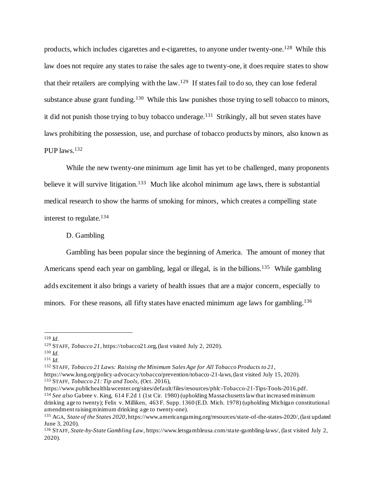products, which includes cigarettes and e-cigarettes, to anyone under twenty-one.<sup>128</sup> While this law does not require any states to raise the sales age to twenty-one, it does require statesto show that their retailers are complying with the law.<sup>129</sup> If states fail to do so, they can lose federal substance abuse grant funding.<sup>130</sup> While this law punishes those trying to sell tobacco to minors, it did not punish those trying to buy tobacco underage.<sup>131</sup> Strikingly, all but seven states have laws prohibiting the possession, use, and purchase of tobacco products by minors, also known as PUP laws.<sup>132</sup>

While the new twenty-one minimum age limit has yet to be challenged, many proponents believe it will survive litigation.<sup>133</sup> Much like alcohol minimum age laws, there is substantial medical research to show the harms of smoking for minors, which creates a compelling state interest to regulate.<sup>134</sup>

## D. Gambling

Gambling has been popular since the beginning of America. The amount of money that Americans spend each year on gambling, legal or illegal, is in the billions.<sup>135</sup> While gambling adds excitement it also brings a variety of health issues that are a major concern, especially to minors. For these reasons, all fifty states have enacted minimum age laws for gambling.<sup>136</sup>

<sup>128</sup> *Id.*

<sup>129</sup> STAFF, *Tobacco 21*, https://tobacco21.org, (last visited July 2, 2020).

<sup>130</sup> *Id.*

<sup>131</sup> *Id.*

<sup>132</sup> STAFF, *Tobacco 21 Laws: Raising the Minimum Sales Age for All Tobacco Products to 21*,

https://www.lung.org/policy-advocacy/tobacco/prevention/tobacco-21-laws, (last visited July 15, 2020). <sup>133</sup> STAFF, *Tobacco 21: Tip and Tools*, (Oct. 2016),

https://www.publichealthlawcenter.org/sites/default/files/resources/phlc-Tobacco-21-Tips-Tools-2016.pdf. <sup>134</sup> *See also* Gabree v. King, 614 F.2d 1 (1st Cir. 1980) (upholding Massachusetts law that increased minimum drinking age to twenty); Felix v. Milliken, 463 F. Supp. 1360 (E.D. Mich. 1978) (upholding Michigan constitutional amendment raising minimum drinking age to twenty-one).

<sup>135</sup> AGA, *State of the States 2020*, https://www.americangaming.org/resources/state-of-the-states-2020/, (last updated June 3, 2020).

<sup>136</sup> STAFF, *State-by-State Gambling Law*, https://www.letsgambleusa.com/state-gambling-laws/, (last visited July 2, 2020).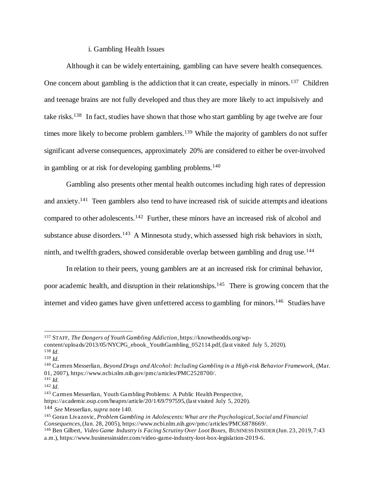## i. Gambling Health Issues

Although it can be widely entertaining, gambling can have severe health consequences. One concern about gambling is the addiction that it can create, especially in minors.<sup>137</sup> Children and teenage brains are not fully developed and thus they are more likely to act impulsively and take risks.<sup>138</sup> In fact, studies have shown that those who start gambling by age twelve are four times more likely to become problem gamblers.<sup>139</sup> While the majority of gamblers do not suffer significant adverse consequences, approximately 20% are considered to either be over-involved in gambling or at risk for developing gambling problems.<sup>140</sup>

Gambling also presents other mental health outcomes including high rates of depression and anxiety.<sup>141</sup> Teen gamblers also tend to have increased risk of suicide attempts and ideations compared to other adolescents.<sup>142</sup> Further, these minors have an increased risk of alcohol and substance abuse disorders.<sup>143</sup> A Minnesota study, which assessed high risk behaviors in sixth, ninth, and twelfth graders, showed considerable overlap between gambling and drug use.<sup>144</sup>

In relation to their peers, young gamblers are at an increased risk for criminal behavior, poor academic health, and disruption in their relationships.<sup>145</sup> There is growing concern that the internet and video games have given unfettered access to gambling for minors.<sup>146</sup> Studies have

https://academic.oup.com/heapro/article/20/1/69/797595, (last visited July 5, 2020).

<sup>137</sup> STAFF, *The Dangers of Youth Gambling Addiction*, https://knowtheodds.org/wpcontent/uploads/2013/05/NYCPG\_ebook\_YouthGambling\_052114.pdf, (last visited July 5, 2020).

<sup>138</sup> *Id.*

<sup>139</sup> *Id.*

<sup>140</sup> Carmen Messerlian, *Beyond Drugs and Alcohol: Including Gambling in a High-risk Behavior Framework*, (Mar. 01, 2007), https://www.ncbi.nlm.nih.gov/pmc/articles/PMC2528700/.

<sup>141</sup> *Id.*

<sup>142</sup> *Id.*

<sup>143</sup> Carmen Messerlian, Youth Gambling Problems: A Public Health Perspective,

<sup>144</sup> *See* Messerlian, *supra* note 140.

<sup>145</sup> Goran Livazovic, *Problem Gambling in Adolescents: What are the Psychological, Social and Financial Consequences*,(Jan. 28, 2005), https://www.ncbi.nlm.nih.gov/pmc/articles/PMC6878669/.

<sup>&</sup>lt;sup>146</sup> Ben Gilbert, *Video Game Industry is Facing Scrutiny Over Loot Boxes*, BUSINESS INSIDER (Jun. 23, 2019, 7:43 a.m.), https://www.businessinsider.com/video-game-industry-loot-box-legislation-2019-6.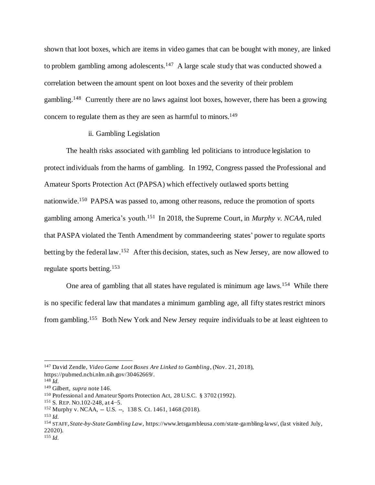shown that loot boxes, which are items in video games that can be bought with money, are linked to problem gambling among adolescents.<sup>147</sup> A large scale study that was conducted showed a correlation between the amount spent on loot boxes and the severity of their problem gambling.<sup>148</sup> Currently there are no laws against loot boxes, however, there has been a growing concern to regulate them as they are seen as harmful to minors.<sup>149</sup>

## ii. Gambling Legislation

The health risks associated with gambling led politicians to introduce legislation to protect individuals from the harms of gambling. In 1992, Congress passed the Professional and Amateur Sports Protection Act (PAPSA) which effectively outlawed sports betting nationwide.<sup>150</sup> PAPSA was passed to, among other reasons, reduce the promotion of sports gambling among America's youth.<sup>151</sup> In 2018, the Supreme Court, in *Murphy v. NCAA*, ruled that PASPA violated the Tenth Amendment by commandeering states' power to regulate sports betting by the federal law.<sup>152</sup> After this decision, states, such as New Jersey, are now allowed to regulate sports betting.<sup>153</sup>

One area of gambling that all states have regulated is minimum age laws.<sup>154</sup> While there is no specific federal law that mandates a minimum gambling age, all fifty states restrict minors from gambling.<sup>155</sup> Both New York and New Jersey require individuals to be at least eighteen to

<sup>147</sup> David Zendle, *Video Game Loot Boxes Are Linked to Gambling*, (Nov. 21, 2018), https://pubmed.ncbi.nlm.nih.gov/30462669/.

<sup>148</sup> *Id.*

<sup>149</sup> Gilbert, *supra* note 146.

<sup>150</sup> Professional and Amateur Sports Protection Act, 28 U.S.C. § 3702 (1992).

<sup>151</sup> S. REP. NO.102-248, at 4−5.

<sup>152</sup> Murphy v. NCAA, -- U.S. --, 138 S. Ct. 1461, 1468 (2018).

<sup>153</sup> *Id.*

<sup>154</sup> STAFF, *State-by-State Gambling Law*, https://www.letsgambleusa.com/state-gambling-laws/, (last visited July, 22020).

<sup>155</sup> *Id.*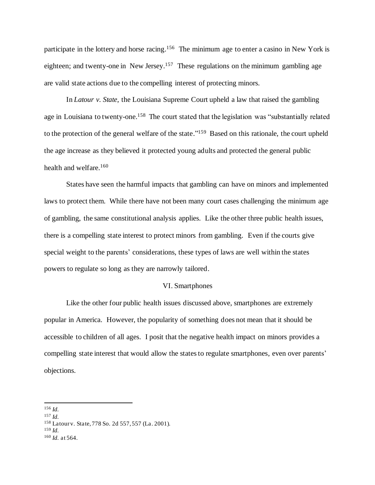participate in the lottery and horse racing.<sup>156</sup> The minimum age to enter a casino in New York is eighteen; and twenty-one in New Jersey.<sup>157</sup> These regulations on the minimum gambling age are valid state actions due to the compelling interest of protecting minors.

In *Latour v. State*, the Louisiana Supreme Court upheld a law that raised the gambling age in Louisiana to twenty-one.<sup>158</sup> The court stated that the legislation was "substantially related to the protection of the general welfare of the state." 159 Based on this rationale, the court upheld the age increase as they believed it protected young adults and protected the general public health and welfare.<sup>160</sup>

States have seen the harmful impacts that gambling can have on minors and implemented laws to protect them. While there have not been many court cases challenging the minimum age of gambling, the same constitutional analysis applies. Like the other three public health issues, there is a compelling state interest to protect minors from gambling. Even if the courts give special weight to the parents' considerations, these types of laws are well within the states powers to regulate so long as they are narrowly tailored.

## VI. Smartphones

Like the other four public health issues discussed above, smartphones are extremely popular in America. However, the popularity of something does not mean that it should be accessible to children of all ages. I posit that the negative health impact on minors provides a compelling state interest that would allow the states to regulate smartphones, even over parents' objections.

<sup>159</sup> *Id.*

<sup>156</sup> *Id.*

<sup>157</sup> *Id.*

<sup>158</sup> Latour v. State, 778 So. 2d 557, 557 (La. 2001).

<sup>160</sup> *Id.* at 564.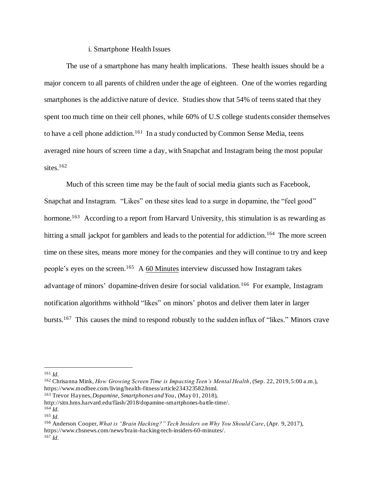## i. Smartphone Health Issues

The use of a smartphone has many health implications. These health issues should be a major concern to all parents of children under the age of eighteen. One of the worries regarding smartphones is the addictive nature of device. Studies show that 54% of teens stated that they spent too much time on their cell phones, while 60% of U.S college students consider themselves to have a cell phone addiction.<sup>161</sup> In a study conducted by Common Sense Media, teens averaged nine hours of screen time a day, with Snapchat and Instagram being the most popular sites.<sup>162</sup>

Much of this screen time may be the fault of social media giants such as Facebook, Snapchat and Instagram. "Likes" on these sites lead to a surge in dopamine, the "feel good" hormone.<sup>163</sup> According to a report from Harvard University, this stimulation is as rewarding as hitting a small jackpot for gamblers and leads to the potential for addiction.<sup>164</sup> The more screen time on these sites, means more money for the companies and they will continue to try and keep people's eyes on the screen.<sup>165</sup> A  $60$  Minutes interview discussed how Instagram takes advantage of minors' dopamine-driven desire for social validation.<sup>166</sup> For example, Instagram notification algorithms withhold "likes" on minors' photos and deliver them later in larger bursts.<sup>167</sup> This causes the mind to respond robustly to the sudden influx of "likes." Minors crave

<sup>166</sup> Anderson Cooper, *What is "Brain Hacking?" Tech Insiders on Why You Should Care*, (Apr. 9, 2017), https://www.cbsnews.com/news/brain-hacking-tech-insiders-60-minutes/. <sup>167</sup> *Id.*

<sup>161</sup> *Id.*

<sup>162</sup> Chrisanna Mink, *How Growing Screen Time is Impacting Teen's Mental Health*, (Sep. 22, 2019, 5:00 a.m.), https://www.modbee.com/living/health-fitness/article234323582.html.

<sup>163</sup> Trevor Haynes, *Dopamine, Smartphones and You*, (May 01, 2018),

http://sitn.hms.harvard.edu/flash/2018/dopamine-smartphones-battle-time/.

<sup>164</sup> *Id.*

<sup>165</sup> *Id.*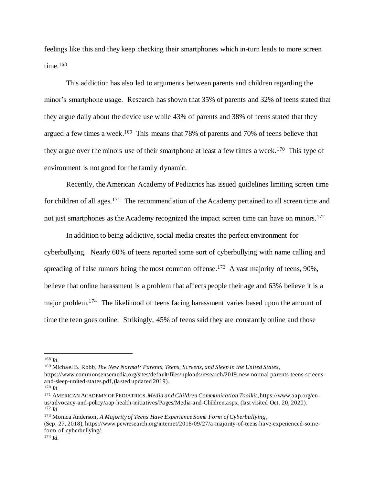feelings like this and they keep checking their smartphones which in-turn leads to more screen time. 168

This addiction has also led to arguments between parents and children regarding the minor's smartphone usage. Research has shown that 35% of parents and 32% of teens stated that they argue daily about the device use while 43% of parents and 38% of teens stated that they argued a few times a week. 169 This means that 78% of parents and 70% of teens believe that they argue over the minors use of their smartphone at least a few times a week.<sup>170</sup> This type of environment is not good for the family dynamic.

Recently, the American Academy of Pediatrics has issued guidelines limiting screen time for children of all ages.<sup>171</sup> The recommendation of the Academy pertained to all screen time and not just smartphones as the Academy recognized the impact screen time can have on minors.<sup>172</sup>

In addition to being addictive, social media creates the perfect environment for cyberbullying. Nearly 60% of teens reported some sort of cyberbullying with name calling and spreading of false rumors being the most common offense.<sup>173</sup> A vast majority of teens, 90%, believe that online harassment is a problem that affects people their age and 63% believe it is a major problem.<sup>174</sup> The likelihood of teens facing harassment varies based upon the amount of time the teen goes online. Strikingly, 45% of teens said they are constantly online and those

<sup>169</sup> Michael B. Robb,*The New Normal: Parents, Teens, Screens, and Sleep in the United States*,

<sup>168</sup> *Id.*

https://www.commonsensemedia.org/sites/default/files/uploads/research/2019-new-normal-parents-teens-screensand-sleep-united-states.pdf, (lasted updated 2019).

<sup>170</sup> *Id.*

<sup>171</sup> AMERICAN ACADEMY OF PEDIATRICS, *Media and Children Communication Toolkit*, https://www.aap.org/enus/advocacy-and-policy/aap-health-initiatives/Pages/Media-and-Children.aspx, (last visited Oct. 20, 2020). <sup>172</sup> *Id.*

<sup>173</sup> Monica Anderson, *A Majority of Teens Have Experience Some Form of Cyberbullying*,

<sup>(</sup>Sep. 27, 2018), https://www.pewresearch.org/internet/2018/09/27/a-majority-of-teens-have-experienced-someform-of-cyberbullying/.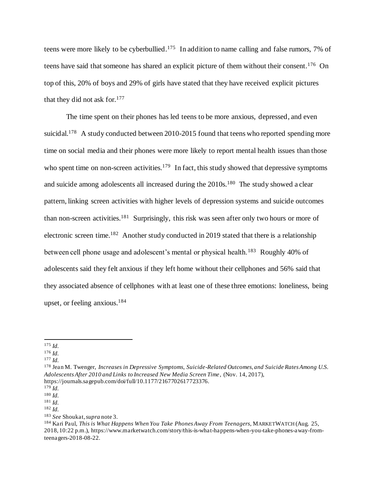teens were more likely to be cyberbullied.<sup>175</sup> In addition to name calling and false rumors, 7% of teens have said that someone has shared an explicit picture of them without their consent.<sup>176</sup> On top of this, 20% of boys and 29% of girls have stated that they have received explicit pictures that they did not ask for.<sup>177</sup>

The time spent on their phones has led teens to be more anxious, depressed, and even suicidal.<sup>178</sup> A study conducted between 2010-2015 found that teens who reported spending more time on social media and their phones were more likely to report mental health issues than those who spent time on non-screen activities.<sup>179</sup> In fact, this study showed that depressive symptoms and suicide among adolescents all increased during the 2010s.<sup>180</sup> The study showed a clear pattern, linking screen activities with higher levels of depression systems and suicide outcomes than non-screen activities.<sup>181</sup> Surprisingly, this risk was seen after only two hours or more of electronic screen time.<sup>182</sup> Another study conducted in 2019 stated that there is a relationship between cell phone usage and adolescent's mental or physical health.<sup>183</sup> Roughly 40% of adolescents said they felt anxious if they left home without their cellphones and 56% said that they associated absence of cellphones with at least one of these three emotions: loneliness, being upset, or feeling anxious.<sup>184</sup>

<sup>175</sup> *Id.*

<sup>176</sup> *Id.*

<sup>177</sup> *Id.*

<sup>178</sup> Jean M. Twenger, *Increases in Depressive Symptoms, Suicide-Related Outcomes, and Suicide Rates Among U.S. Adolescents After 2010 and Links to Increased New Media Screen Time*, (Nov. 14, 2017), https://journals.sagepub.com/doi/full/10.1177/2167702617723376.

<sup>179</sup> *Id.*

<sup>180</sup> *Id.*

<sup>181</sup> *Id.*

<sup>182</sup> *Id.*

<sup>183</sup> *See* Shoukat,*supra* note 3.

<sup>184</sup> Kari Paul, *This is What Happens When You Take Phones Away From Teenagers*, MARKETWATCH (Aug. 25, 2018, 10:22 p.m.), https://www.marketwatch.com/story/this-is-what-happens-when-you-take-phones-away-fromteenagers-2018-08-22.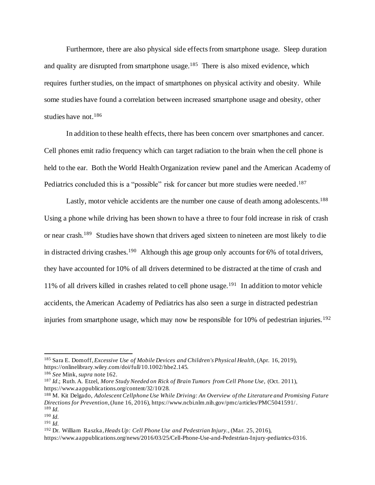Furthermore, there are also physical side effects from smartphone usage. Sleep duration and quality are disrupted from smartphone usage.<sup>185</sup> There is also mixed evidence, which requires further studies, on the impact of smartphones on physical activity and obesity. While some studies have found a correlation between increased smartphone usage and obesity, other studies have not.<sup>186</sup>

In addition to these health effects, there has been concern over smartphones and cancer. Cell phones emit radio frequency which can target radiation to the brain when the cell phone is held to the ear. Both the World Health Organization review panel and the American Academy of Pediatrics concluded this is a "possible" risk for cancer but more studies were needed.<sup>187</sup>

Lastly, motor vehicle accidents are the number one cause of death among adolescents.<sup>188</sup> Using a phone while driving has been shown to have a three to four fold increase in risk of crash or near crash.<sup>189</sup> Studies have shown that drivers aged sixteen to nineteen are most likely to die in distracted driving crashes.<sup>190</sup> Although this age group only accounts for 6% of total drivers, they have accounted for 10% of all drivers determined to be distracted at the time of crash and 11% of all drivers killed in crashes related to cell phone usage.<sup>191</sup> In addition to motor vehicle accidents, the American Academy of Pediatrics has also seen a surge in distracted pedestrian injuries from smartphone usage, which may now be responsible for  $10\%$  of pedestrian injuries.<sup>192</sup>

<sup>185</sup> Sara E. Domoff, *Excessive Use of Mobile Devices and Children's Physical Health*, (Apr. 16, 2019), https://onlinelibrary.wiley.com/doi/full/10.1002/hbe2.145.

<sup>186</sup> *See* Mink, *supra* note 162.

<sup>187</sup> *Id*.; Ruth. A. Etzel, *More Study Needed on Rick of Brain Tumors from Cell Phone Use,* (Oct. 2011), https://www.aappublications.org/content/32/10/28.

<sup>188</sup> M. Kit Delgado, *Adolescent Cellphone Use While Driving: An Overview of the Literature and Promising Future Directions for Prevention*, (June 16, 2016), https://www.ncbi.nlm.nih.gov/pmc/articles/PMC5041591/. <sup>189</sup> *Id.*

<sup>190</sup> *Id.*

<sup>191</sup> *Id.*

<sup>192</sup> Dr. William Raszka,*Heads Up: Cell Phone Use and Pedestrian Injury.*, (Mar. 25, 2016),

https://www.aappublications.org/news/2016/03/25/Cell-Phone-Use-and-Pedestrian-Injury-pediatrics-0316.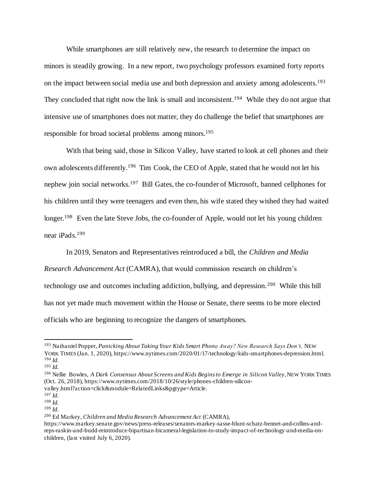While smartphones are still relatively new, the research to determine the impact on minors is steadily growing. In a new report, two psychology professors examined forty reports on the impact between social media use and both depression and anxiety among adolescents.<sup>193</sup> They concluded that right now the link is small and inconsistent.<sup>194</sup> While they do not argue that intensive use of smartphones does not matter, they do challenge the belief that smartphones are responsible for broad societal problems among minors.<sup>195</sup>

With that being said, those in Silicon Valley, have started to look at cell phones and their own adolescents differently.<sup>196</sup> Tim Cook, the CEO of Apple, stated that he would not let his nephew join social networks.<sup>197</sup> Bill Gates, the co-founder of Microsoft, banned cellphones for his children until they were teenagers and even then, his wife stated they wished they had waited longer.<sup>198</sup> Even the late Steve Jobs, the co-founder of Apple, would not let his young children near iPads.<sup>199</sup>

In 2019, Senators and Representatives reintroduced a bill, the *Children and Media* 

*Research Advancement Act* (CAMRA), that would commission research on children's technology use and outcomes including addiction, bullying, and depression.<sup>200</sup> While this bill has not yet made much movement within the House or Senate, there seems to be more elected officials who are beginning to recognize the dangers of smartphones.

<sup>193</sup> Nathaniel Popper, *Panicking About Taking Your Kids Smart Phone Away? New Research Says Don't,* NEW YORK TIMES (Jan. 1, 2020), https://www.nytimes.com/2020/01/17/technology/kids-smartphones-depression.html. <sup>194</sup> *Id.*

<sup>195</sup> *Id.*

<sup>&</sup>lt;sup>196</sup> Nellie Bowles, *A Dark Consensus About Screens and Kids Begins to Emerge in Silicon Valley*, NEW YORK TIMES (Oct. 26, 2018), https://www.nytimes.com/2018/10/26/style/phones-children-siliconvalley.html?action=click&module=RelatedLinks&pgtype=Article.

<sup>197</sup> *Id.*

<sup>198</sup> *Id.*

<sup>199</sup> *Id.*

<sup>200</sup> Ed Markey, *Children and Media Research Advancement Act* (CAMRA),

https://www.markey.senate.gov/news/press-releases/senators-markey-sasse-blunt-schatz-bennet-and-collins-andreps-raskin-and-budd-reintroduce-bipartisan-bicameral-legislation-to-study-impact-of-technology-and-media-onchildren, (last visited July 6, 2020).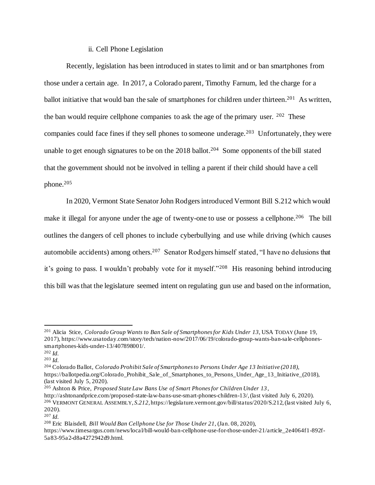## ii. Cell Phone Legislation

Recently, legislation has been introduced in states to limit and or ban smartphones from those under a certain age. In 2017, a Colorado parent, Timothy Farnum, led the charge for a ballot initiative that would ban the sale of smartphones for children under thirteen.<sup>201</sup> As written, the ban would require cellphone companies to ask the age of the primary user.  $202$  These companies could face fines if they sell phones to someone underage.<sup>203</sup> Unfortunately, they were unable to get enough signatures to be on the  $2018$  ballot.<sup>204</sup> Some opponents of the bill stated that the government should not be involved in telling a parent if their child should have a cell phone.<sup>205</sup>

In 2020, Vermont State Senator John Rodgers introduced Vermont Bill S.212 which would make it illegal for anyone under the age of twenty-one to use or possess a cellphone.<sup>206</sup> The bill outlines the dangers of cell phones to include cyberbullying and use while driving (which causes automobile accidents) among others.<sup>207</sup> Senator Rodgers himself stated, "I have no delusions that it's going to pass. I wouldn't probably vote for it myself."<sup>208</sup> His reasoning behind introducing this bill was that the legislature seemed intent on regulating gun use and based on the information,

<sup>201</sup> Alicia Stice*, Colorado Group Wants to Ban Sale of Smartphones for Kids Under 13*, USA TODAY (June 19, 2017), https://www.usatoday.com/story/tech/nation-now/2017/06/19/colorado-group-wants-ban-sale-cellphonessmartphones-kids-under-13/407898001/.

<sup>202</sup> *Id.*

<sup>203</sup> *Id.*

<sup>204</sup> Colorado Ballot, *Colorado Prohibit Sale of Smartphones to Persons Under Age 13 Initiative (20 18)*, https://ballotpedia.org/Colorado\_Prohibit\_Sale\_of\_Smartphones\_to\_Persons\_Under\_Age\_13\_Initiative\_(2018), (last visited July 5, 2020).

<sup>205</sup> Ashton & Price, *Proposed State Law Bans Use of Smart Phones for Children Under 13*,

http://ashtonandprice.com/proposed-state-law-bans-use-smart-phones-children-13/, (last visited July 6, 2020). <sup>206</sup> VERMONT GENERAL ASSEMBLY, *S.212*, https://legislature.vermont.gov/bill/status/2020/S.212, (last visited July 6, 2020).

<sup>207</sup> *Id.*

<sup>208</sup> Eric Blaisdell, *Bill Would Ban Cellphone Use for Those Under 21*, (Jan. 08, 2020), https://www.timesargus.com/news/local/bill-would-ban-cellphone-use-for-those-under-21/article\_2e4064f1-892f-5a83-95a2-d8a4272942d9.html.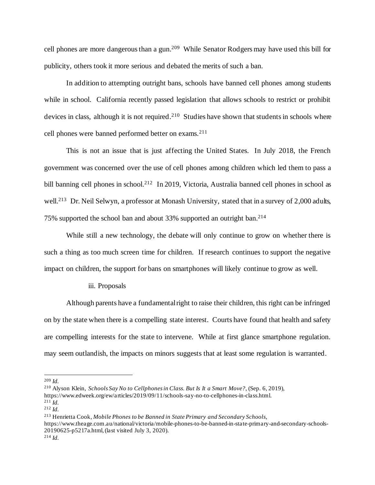cell phones are more dangerous than a gun.<sup>209</sup> While Senator Rodgers may have used this bill for publicity, others took it more serious and debated the merits of such a ban.

In addition to attempting outright bans, schools have banned cell phones among students while in school. California recently passed legislation that allows schools to restrict or prohibit devices in class, although it is not required.<sup>210</sup> Studies have shown that students in schools where cell phones were banned performed better on exams.<sup>211</sup>

This is not an issue that is just affecting the United States. In July 2018, the French government was concerned over the use of cell phones among children which led them to pass a bill banning cell phones in school.<sup>212</sup> In 2019, Victoria, Australia banned cell phones in school as well.<sup>213</sup> Dr. Neil Selwyn, a professor at Monash University, stated that in a survey of 2,000 adults, 75% supported the school ban and about 33% supported an outright ban.<sup>214</sup>

While still a new technology, the debate will only continue to grow on whether there is such a thing as too much screen time for children. If research continues to support the negative impact on children, the support for bans on smartphones will likely continue to grow as well.

## iii. Proposals

Although parents have a fundamental right to raise their children, this right can be infringed on by the state when there is a compelling state interest. Courts have found that health and safety are compelling interests for the state to intervene. While at first glance smartphone regulation. may seem outlandish, the impacts on minors suggests that at least some regulation is warranted.

<sup>209</sup> *Id.*

<sup>210</sup> Alyson Klein, *Schools Say No to Cellphones in Class. But Is It a Smart Move?*, (Sep. 6, 2019),

https://www.edweek.org/ew/articles/2019/09/11/schools-say-no-to-cellphones-in-class.html.  $^{211}$  *Id.* 

<sup>212</sup> *Id.*

<sup>213</sup> Henrietta Cook, *Mobile Phones to be Banned in State Primary and Secondary Schools*,

https://www.theage.com.au/national/victoria/mobile-phones-to-be-banned-in-state-primary-and-secondary-schools-20190625-p5217a.html, (last visited July 3, 2020).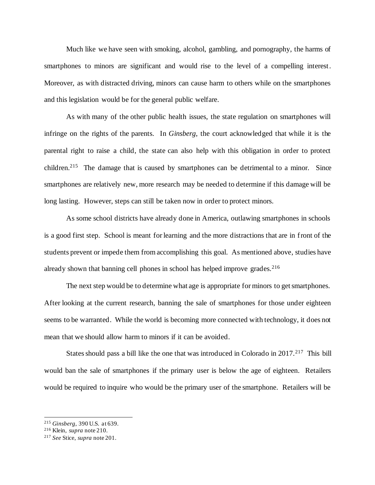Much like we have seen with smoking, alcohol, gambling, and pornography, the harms of smartphones to minors are significant and would rise to the level of a compelling interest. Moreover, as with distracted driving, minors can cause harm to others while on the smartphones and this legislation would be for the general public welfare.

As with many of the other public health issues, the state regulation on smartphones will infringe on the rights of the parents. In *Ginsberg*, the court acknowledged that while it is the parental right to raise a child, the state can also help with this obligation in order to protect children.<sup>215</sup> The damage that is caused by smartphones can be detrimental to a minor. Since smartphones are relatively new, more research may be needed to determine if this damage will be long lasting. However, steps can still be taken now in order to protect minors.

As some school districts have already done in America, outlawing smartphones in schools is a good first step. School is meant for learning and the more distractions that are in front of the students prevent or impede them from accomplishing this goal. As mentioned above, studies have already shown that banning cell phones in school has helped improve grades.<sup>216</sup>

The next step would be to determine what age is appropriate for minors to get smartphones. After looking at the current research, banning the sale of smartphones for those under eighteen seems to be warranted. While the world is becoming more connected with technology, it does not mean that we should allow harm to minors if it can be avoided.

States should pass a bill like the one that was introduced in Colorado in 2017.<sup>217</sup> This bill would ban the sale of smartphones if the primary user is below the age of eighteen. Retailers would be required to inquire who would be the primary user of the smartphone. Retailers will be

<sup>215</sup> *Ginsberg*, 390 U.S. at 639.

<sup>216</sup> Klein, *supra* note 210.

<sup>217</sup> *See* Stice, *supra* note 201.